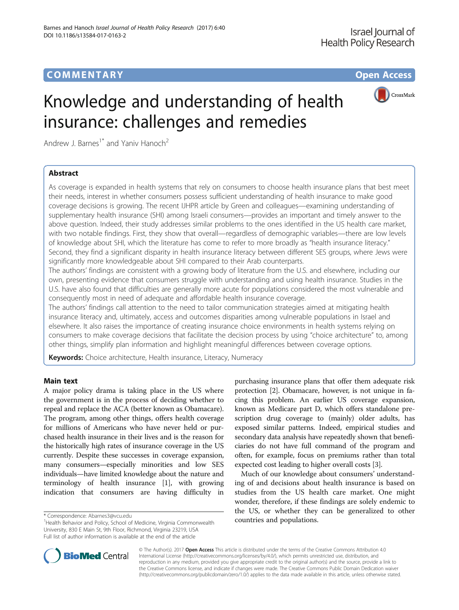# **COMMENTARY COMMENTARY Open Access**



# Knowledge and understanding of health insurance: challenges and remedies

Andrew J. Barnes<sup>1\*</sup> and Yaniv Hanoch<sup>2</sup>

# Abstract

As coverage is expanded in health systems that rely on consumers to choose health insurance plans that best meet their needs, interest in whether consumers possess sufficient understanding of health insurance to make good coverage decisions is growing. The recent IJHPR article by Green and colleagues—examining understanding of supplementary health insurance (SHI) among Israeli consumers—provides an important and timely answer to the above question. Indeed, their study addresses similar problems to the ones identified in the US health care market, with two notable findings. First, they show that overall—regardless of demographic variables—there are low levels of knowledge about SHI, which the literature has come to refer to more broadly as "health insurance literacy." Second, they find a significant disparity in health insurance literacy between different SES groups, where Jews were significantly more knowledgeable about SHI compared to their Arab counterparts.

The authors' findings are consistent with a growing body of literature from the U.S. and elsewhere, including our own, presenting evidence that consumers struggle with understanding and using health insurance. Studies in the U.S. have also found that difficulties are generally more acute for populations considered the most vulnerable and consequently most in need of adequate and affordable health insurance coverage.

The authors' findings call attention to the need to tailor communication strategies aimed at mitigating health insurance literacy and, ultimately, access and outcomes disparities among vulnerable populations in Israel and elsewhere. It also raises the importance of creating insurance choice environments in health systems relying on consumers to make coverage decisions that facilitate the decision process by using "choice architecture" to, among other things, simplify plan information and highlight meaningful differences between coverage options.

Keywords: Choice architecture, Health insurance, Literacy, Numeracy

# Main text

A major policy drama is taking place in the US where the government is in the process of deciding whether to repeal and replace the ACA (better known as Obamacare). The program, among other things, offers health coverage for millions of Americans who have never held or purchased health insurance in their lives and is the reason for the historically high rates of insurance coverage in the US currently. Despite these successes in coverage expansion, many consumers—especially minorities and low SES individuals—have limited knowledge about the nature and terminology of health insurance [\[1](#page-2-0)], with growing indication that consumers are having difficulty in

purchasing insurance plans that offer them adequate risk protection [\[2\]](#page-2-0). Obamacare, however, is not unique in facing this problem. An earlier US coverage expansion, known as Medicare part D, which offers standalone prescription drug coverage to (mainly) older adults, has exposed similar patterns. Indeed, empirical studies and secondary data analysis have repeatedly shown that beneficiaries do not have full command of the program and often, for example, focus on premiums rather than total expected cost leading to higher overall costs [\[3](#page-2-0)].

Much of our knowledge about consumers' understanding of and decisions about health insurance is based on studies from the US health care market. One might wonder, therefore, if these findings are solely endemic to the US, or whether they can be generalized to other



© The Author(s). 2017 **Open Access** This article is distributed under the terms of the Creative Commons Attribution 4.0 International License [\(http://creativecommons.org/licenses/by/4.0/](http://creativecommons.org/licenses/by/4.0/)), which permits unrestricted use, distribution, and reproduction in any medium, provided you give appropriate credit to the original author(s) and the source, provide a link to the Creative Commons license, and indicate if changes were made. The Creative Commons Public Domain Dedication waiver [\(http://creativecommons.org/publicdomain/zero/1.0/](http://creativecommons.org/publicdomain/zero/1.0/)) applies to the data made available in this article, unless otherwise stated.

<sup>\*</sup> Correspondence: [Abarnes3@vcu.edu](mailto:Abarnes3@vcu.edu) 1 and populations.<br><sup>1</sup> Health Behavior and Policy, School of Medicine, Virginia Commonwealth 1 **countries and populations.** University, 830 E Main St, 9th Floor, Richmond, Virginia 23219, USA Full list of author information is available at the end of the article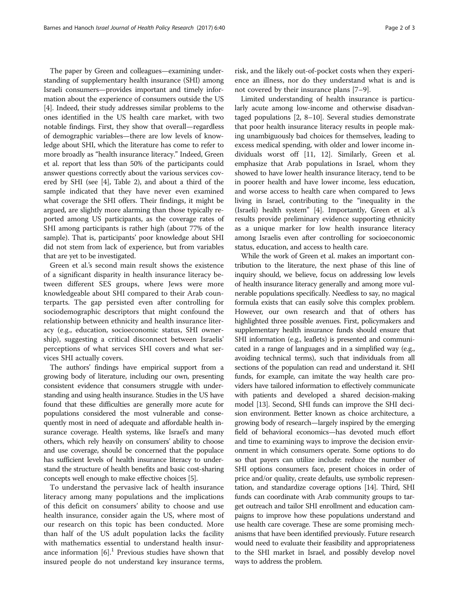The paper by Green and colleagues—examining understanding of supplementary health insurance (SHI) among Israeli consumers—provides important and timely information about the experience of consumers outside the US [[4\]](#page-2-0). Indeed, their study addresses similar problems to the ones identified in the US health care market, with two notable findings. First, they show that overall—regardless of demographic variables—there are low levels of knowledge about SHI, which the literature has come to refer to more broadly as "health insurance literacy." Indeed, Green et al. report that less than 50% of the participants could answer questions correctly about the various services covered by SHI (see [\[4](#page-2-0)], Table 2), and about a third of the sample indicated that they have never even examined what coverage the SHI offers. Their findings, it might be argued, are slightly more alarming than those typically reported among US participants, as the coverage rates of SHI among participants is rather high (about 77% of the sample). That is, participants' poor knowledge about SHI did not stem from lack of experience, but from variables that are yet to be investigated.

Green et al.'s second main result shows the existence of a significant disparity in health insurance literacy between different SES groups, where Jews were more knowledgeable about SHI compared to their Arab counterparts. The gap persisted even after controlling for sociodemographic descriptors that might confound the relationship between ethnicity and health insurance literacy (e.g., education, socioeconomic status, SHI ownership), suggesting a critical disconnect between Israelis' perceptions of what services SHI covers and what services SHI actually covers.

The authors' findings have empirical support from a growing body of literature, including our own, presenting consistent evidence that consumers struggle with understanding and using health insurance. Studies in the US have found that these difficulties are generally more acute for populations considered the most vulnerable and consequently most in need of adequate and affordable health insurance coverage. Health systems, like Israel's and many others, which rely heavily on consumers' ability to choose and use coverage, should be concerned that the populace has sufficient levels of health insurance literacy to understand the structure of health benefits and basic cost-sharing concepts well enough to make effective choices [\[5\]](#page-2-0).

To understand the pervasive lack of health insurance literacy among many populations and the implications of this deficit on consumers' ability to choose and use health insurance, consider again the US, where most of our research on this topic has been conducted. More than half of the US adult population lacks the facility with mathematics essential to understand health insurance information  $[6]$  $[6]$ <sup>1</sup>. Previous studies have shown that insured people do not understand key insurance terms,

risk, and the likely out-of-pocket costs when they experience an illness, nor do they understand what is and is not covered by their insurance plans [\[7](#page-2-0)–[9](#page-2-0)].

Limited understanding of health insurance is particularly acute among low-income and otherwise disadvantaged populations [\[2](#page-2-0), [8](#page-2-0)–[10](#page-2-0)]. Several studies demonstrate that poor health insurance literacy results in people making unambiguously bad choices for themselves, leading to excess medical spending, with older and lower income individuals worst off [[11](#page-2-0), [12](#page-2-0)]. Similarly, Green et al. emphasize that Arab populations in Israel, whom they showed to have lower health insurance literacy, tend to be in poorer health and have lower income, less education, and worse access to health care when compared to Jews living in Israel, contributing to the "inequality in the (Israeli) health system" [\[4](#page-2-0)]. Importantly, Green et al.'s results provide preliminary evidence supporting ethnicity as a unique marker for low health insurance literacy among Israelis even after controlling for socioeconomic status, education, and access to health care.

While the work of Green et al. makes an important contribution to the literature, the next phase of this line of inquiry should, we believe, focus on addressing low levels of health insurance literacy generally and among more vulnerable populations specifically. Needless to say, no magical formula exists that can easily solve this complex problem. However, our own research and that of others has highlighted three possible avenues. First, policymakers and supplementary health insurance funds should ensure that SHI information (e.g., leaflets) is presented and communicated in a range of languages and in a simplified way (e.g., avoiding technical terms), such that individuals from all sections of the population can read and understand it. SHI funds, for example, can imitate the way health care providers have tailored information to effectively communicate with patients and developed a shared decision-making model [[13](#page-2-0)]. Second, SHI funds can improve the SHI decision environment. Better known as choice architecture, a growing body of research—largely inspired by the emerging field of behavioral economics—has devoted much effort and time to examining ways to improve the decision environment in which consumers operate. Some options to do so that payers can utilize include: reduce the number of SHI options consumers face, present choices in order of price and/or quality, create defaults, use symbolic representation, and standardize coverage options [\[14](#page-2-0)]. Third, SHI funds can coordinate with Arab community groups to target outreach and tailor SHI enrollment and education campaigns to improve how these populations understand and use health care coverage. These are some promising mechanisms that have been identified previously. Future research would need to evaluate their feasibility and appropriateness to the SHI market in Israel, and possibly develop novel ways to address the problem.